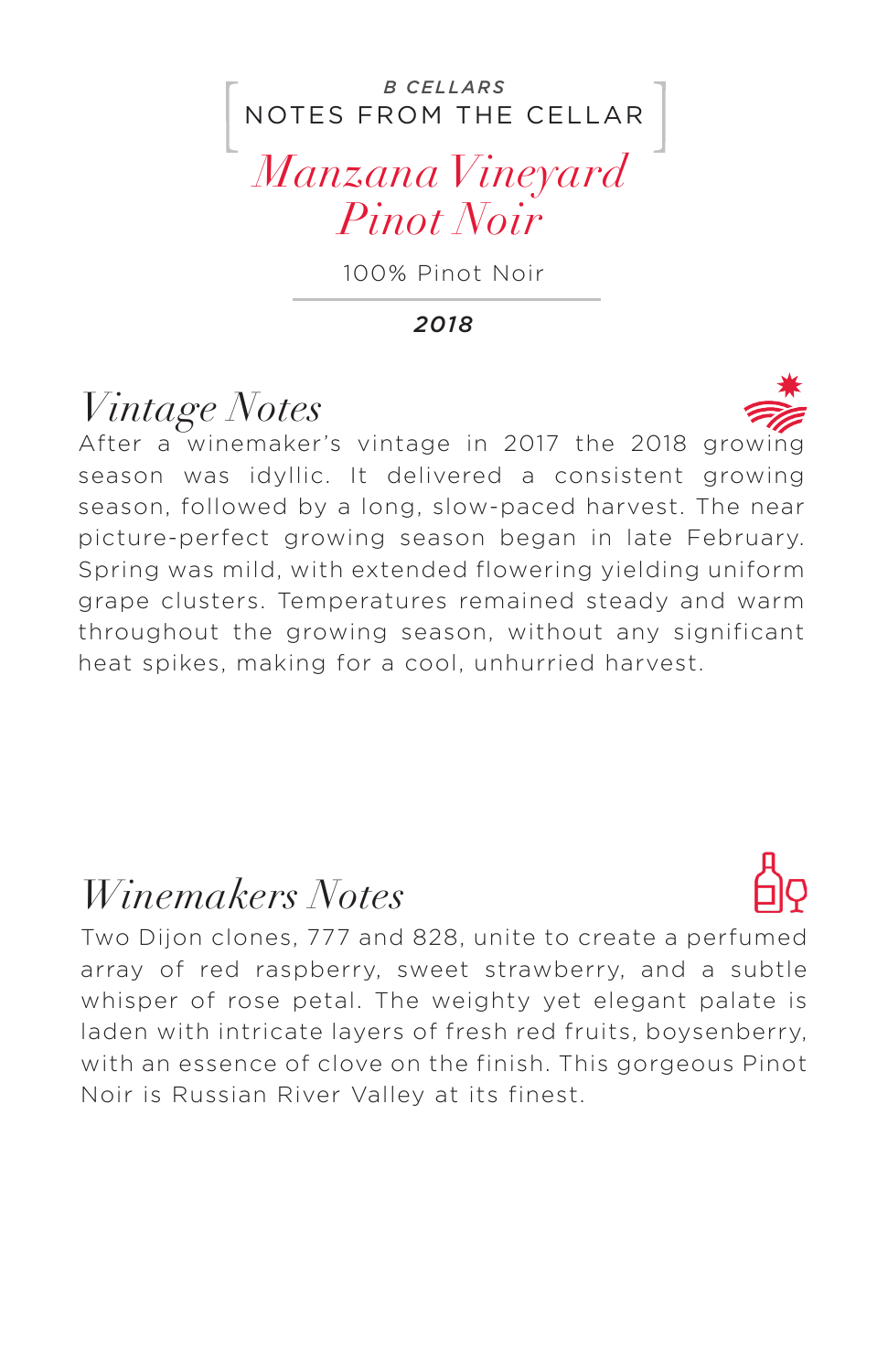#### NOTES FROM THE CELLAR *B CELLARS*

#### *Manzana Vineyard Pinot Noir*

100% Pinot Noir

*2018*

## *Vintage Notes*

After a winemaker's vintage in 2017 the 2018 growing season was idyllic. It delivered a consistent growing season, followed by a long, slow-paced harvest. The near picture-perfect growing season began in late February. Spring was mild, with extended flowering yielding uniform grape clusters. Temperatures remained steady and warm throughout the growing season, without any significant heat spikes, making for a cool, unhurried harvest.

#### *Winemakers Notes*

Two Dijon clones, 777 and 828, unite to create a perfumed array of red raspberry, sweet strawberry, and a subtle whisper of rose petal. The weighty yet elegant palate is laden with intricate layers of fresh red fruits, boysenberry, with an essence of clove on the finish. This gorgeous Pinot Noir is Russian River Valley at its finest.